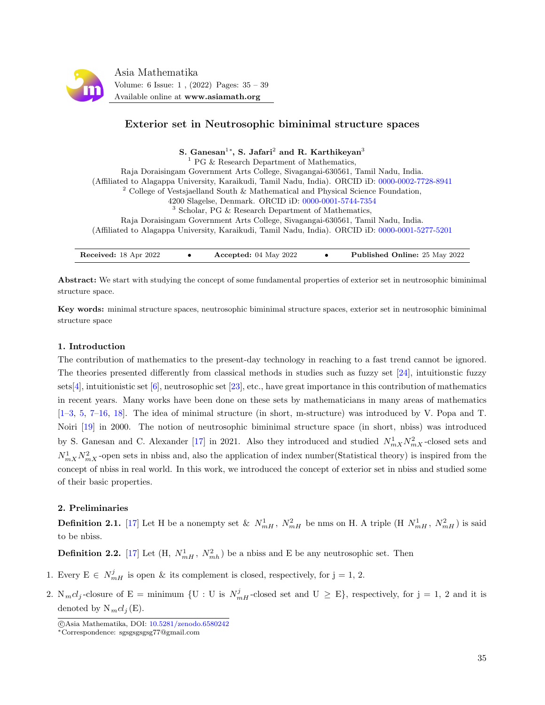

# Exterior set in Neutrosophic biminimal structure spaces

S. Ganesan $^{1*}$ , S. Jafari $^{2}$  and R. Karthikeyan $^{3}$ 

 $<sup>1</sup>$  PG & Research Department of Mathematics,</sup> Raja Doraisingam Government Arts College, Sivagangai-630561, Tamil Nadu, India. (Affiliated to Alagappa University, Karaikudi, Tamil Nadu, India). ORCID iD: [0000-0002-7728-8941](https://orcid.org/0000-0002-7728-8941)  $2^2$  College of Vestsjaelland South & Mathematical and Physical Science Foundation, 4200 Slagelse, Denmark. ORCID iD: [0000-0001-5744-7354](https://orcid.org/0000-0001-5744-7354) <sup>3</sup> Scholar, PG & Research Department of Mathematics, Raja Doraisingam Government Arts College, Sivagangai-630561, Tamil Nadu, India. (Affiliated to Alagappa University, Karaikudi, Tamil Nadu, India). ORCID iD: [0000-0001-5277-5201](https://orcid.org/0000-0001-5277-5201)

| <b>Received:</b> 18 Apr 2022 |  | Accepted: $04$ May 2022 |  | <b>Published Online: 25 May 2022</b> |
|------------------------------|--|-------------------------|--|--------------------------------------|
|------------------------------|--|-------------------------|--|--------------------------------------|

Abstract: We start with studying the concept of some fundamental properties of exterior set in neutrosophic biminimal structure space.

Key words: minimal structure spaces, neutrosophic biminimal structure spaces, exterior set in neutrosophic biminimal structure space

## 1. Introduction

The contribution of mathematics to the present-day technology in reaching to a fast trend cannot be ignored. The theories presented differently from classical methods in studies such as fuzzy set [\[24\]](#page-4-0), intuitionstic fuzzy sets[\[4\]](#page-3-0), intuitionistic set [\[6\]](#page-3-1), neutrosophic set [\[23\]](#page-4-1), etc., have great importance in this contribution of mathematics in recent years. Many works have been done on these sets by mathematicians in many areas of mathematics [\[1–](#page-3-2)[3,](#page-3-3) [5,](#page-3-4) [7](#page-3-5)[–16,](#page-4-2) [18\]](#page-4-3). The idea of minimal structure (in short, m-structure) was introduced by V. Popa and T. Noiri [\[19\]](#page-4-4) in 2000. The notion of neutrosophic biminimal structure space (in short, nbiss) was introduced by S. Ganesan and C. Alexander [\[17\]](#page-4-5) in 2021. Also they introduced and studied  $N_{mX}^1 N_{mX}^2$ -closed sets and  $N_{mX}^1 N_{mX}^2$ -open sets in nbiss and, also the application of index number(Statistical theory) is inspired from the concept of nbiss in real world. In this work, we introduced the concept of exterior set in nbiss and studied some of their basic properties.

### 2. Preliminaries

**Definition 2.1.** [\[17\]](#page-4-5) Let H be a nonempty set &  $N_{mH}^1$ ,  $N_{mH}^2$  be nms on H. A triple (H  $N_{mH}^1$ ,  $N_{mH}^2$ ) is said to be nbiss.

**Definition 2.2.** [\[17\]](#page-4-5) Let  $(H, N_{mH}^1, N_{mh}^2)$  be a nbiss and E be any neutrosophic set. Then

- 1. Every  $E \in N_{mH}^j$  is open & its complement is closed, respectively, for  $j = 1, 2$ .
- 2.  $N_mcl_j$ -closure of E = minimum {U : U is  $N_{mH}^j$ -closed set and U  $\geq$  E}, respectively, for j = 1, 2 and it is denoted by  $N_mcl_i(E)$ .

c Asia Mathematika, DOI: [10.5281/zenodo.6580242](http://www.asiamath.org/article/vol6iss1/AM-2204-6112.pdf)

<sup>∗</sup>Correspondence: sgsgsgsgsg77@gmail.com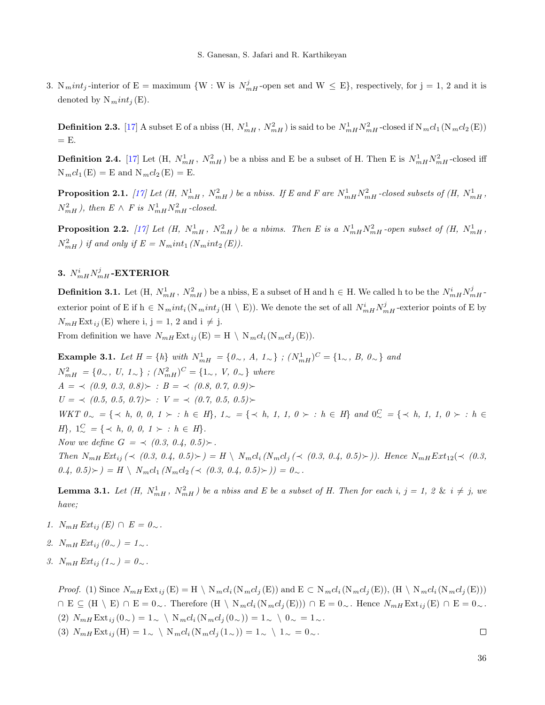3.  $N<sub>m</sub>int<sub>j</sub>$ -interior of E = maximum {W : W is  $N<sub>mH</sub><sup>j</sup>$ -open set and W  $\leq$  E}, respectively, for j = 1, 2 and it is denoted by  $N<sub>m</sub>int<sub>j</sub>(E)$ .

**Definition 2.3.** [\[17\]](#page-4-5) A subset E of a nbiss  $(H, N_{mH}^1, N_{mH}^2)$  is said to be  $N_{mH}^1 N_{mH}^2$ -closed if  $N_mcl_1(N_mcl_2(E))$  $=$  E.

**Definition 2.4.** [\[17\]](#page-4-5) Let  $(H, N_{mH}^1, N_{mH}^2)$  be a nbiss and E be a subset of H. Then E is  $N_{mH}^1 N_{mH}^2$ -closed iff  $N_mcl_1(E) = E$  and  $N_mcl_2(E) = E$ .

**Proposition 2.1.** [\[17\]](#page-4-5) Let  $(H, N_{mH}^1, N_{mH}^2)$  be a nbiss. If E and F are  $N_{mH}^1 N_{mH}^2$ -closed subsets of  $(H, N_{mH}^1, N_{mH}^2)$  $N_{mH}^2$ ), then  $E \wedge F$  is  $N_{mH}^1 N_{mH}^2$ -closed.

**Proposition 2.2.** [\[17\]](#page-4-5) Let  $(H, N_{mH}^1, N_{mH}^2)$  be a nbims. Then E is a  $N_{mH}^1 N_{mH}^2$ -open subset of  $(H, N_{mH}^1, N_{mH}^2)$  $N_{mH}^2$ ) if and only if  $E = N_mint_1 (N_mint_2 (E)).$ 

# 3.  $N^{i}_{mH}N^{j}_{mH}$ -EXTERIOR

**Definition 3.1.** Let  $(H, N_{mH}^1, N_{mH}^2)$  be a nbiss, E a subset of H and  $h \in H$ . We called h to be the  $N_{mH}^i N_{mH}^j$ exterior point of E if  $h \in N_mint_i(N_mint_j(H \setminus E))$ . We denote the set of all  $N^i_{mH}N^j_{mH}$ -exterior points of E by  $N_{mH}$  Ext<sub>ij</sub>(E) where i, j = 1, 2 and i  $\neq$  j. From definition we have  $N_{mH}$  Ext  $_{ij}$  (E) = H \ N<sub>m</sub>cl<sub>i</sub> (N<sub>m</sub>cl<sub>j</sub> (E)).

Example 3.1. Let  $H = \{h\}$  with  $N_{mH}^1 = \{0_{\sim}, A, 1_{\sim}\}\; ; \; (N_{mH}^1)^C = \{1_{\sim}, B, 0_{\sim}\}\;$  and  $N_{mH}^2 = \{0, 0, 0, 1, 1\}$ ;  $(N_{mH}^2)^C = \{1, 0, 0, 0\}$  where  $A = \langle (0.9, 0.3, 0.8) \rangle : B = \langle (0.8, 0.7, 0.9) \rangle$  $U = \langle (0.5, 0.5, 0.7) \rangle : V = \langle (0.7, 0.5, 0.5) \rangle$  $WKT$   $0 \sim$  = { ≺ h, 0, 0, 1 ≻ : h ∈ H},  $1 \sim$  = {  $\prec$  h, 1, 1, 0 ≻ : h ∈ H} and  $0 \sim^C$  = {  $\prec$  h, 1, 1, 0 ≻ : h ∈  $H$ ,  $1_{\sim}^{C} = \{ \prec h, 0, 0, 1 \succ : h \in H \}.$ Now we define  $G = \{ (0.3, 0.4, 0.5) \}$ . Then  $N_{mH} Ext_{ij} (\prec (0.3, 0.4, 0.5) \succ) = H \setminus N_m cl_i (N_m cl_j (\prec (0.3, 0.4, 0.5) \succ))$ . Hence  $N_{mH} Ext_{12} (\prec (0.3, 0.4, 0.5) \succ)$  $(0.4, 0.5) \succ$  = H \  $N_mcl_1 (N_mcl_2 (\prec (0.3, 0.4, 0.5) \succ)) = 0_{\sim}$ .

**Lemma 3.1.** Let  $(H, N_{mH}^1, N_{mH}^2)$  be a nbiss and E be a subset of H. Then for each i,  $j = 1, 2 \& i \neq j$ , we have;

- 1.  $N_{mH} Ext_{ij}(E) \cap E = 0_{\sim}.$
- 2.  $N_{mH} Ext_{ii} (\theta_{\sim}) = 1_{\sim}.$
- 3.  $N_{mH} Ext_{ii} (1_{\sim}) = 0_{\sim}.$

*Proof.* (1) Since  $N_{mH}$  Ext<sub>ij</sub> (E) = H \  $N_{m}cl_i(N_{m}cl_j(E))$  and  $E \subset N_{m}cl_i(N_{m}cl_j(E))$ , (H \  $N_{m}cl_i(N_{m}cl_j(E))$ )  $\Box$  E  $\subseteq$  (H \ E)  $\cap$  E = 0∼. Therefore (H \ N<sub>m</sub>cl<sub>i</sub>(N<sub>m</sub>cl<sub>i</sub>(E)))  $\cap$  E = 0∼. Hence N<sub>mH</sub> Ext<sub>ij</sub>(E)  $\cap$  E = 0∼. (2)  $N_{mH} \text{Ext}_{ij} (0) = 1$ ~ \  $N_m cl_i (N_m cl_j (0) ) = 1$ ~ \  $0$ ~ = 1∼.  $\Box$ 

(3)  $N_{mH} \text{Ext}_{ij}(\text{H}) = 1_{\sim} \setminus N_{m} cl_i(\text{N}_{m} cl_j(1_{\sim})) = 1_{\sim} \setminus 1_{\sim} = 0_{\sim}.$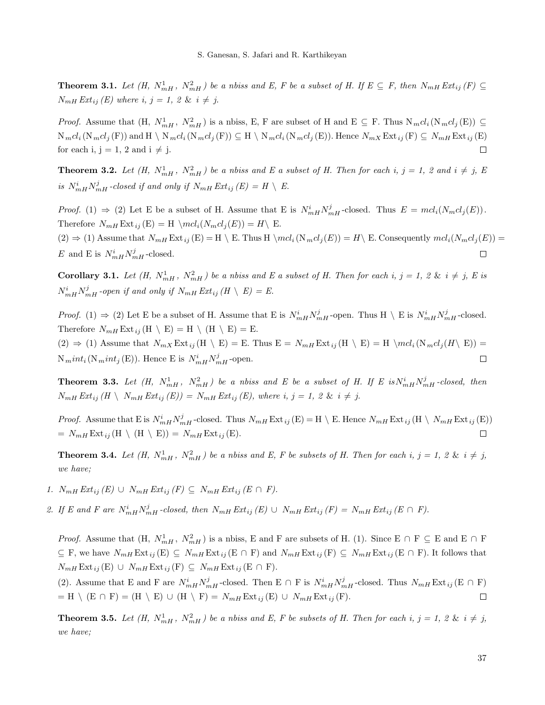**Theorem 3.1.** Let  $(H, N_{mH}^1, N_{mH}^2)$  be a nbiss and E, F be a subset of H. If  $E \subseteq F$ , then  $N_{mH} Ext_{ij}(F) \subseteq F$  $N_{mH} Ext_{ij}(E)$  where i,  $j = 1, 2 \& i \neq j$ .

*Proof.* Assume that  $(H, N_{mH}^1, N_{mH}^2)$  is a nbiss, E, F are subset of H and E  $\subseteq$  F. Thus  $N_mcl_i(N_mcl_j(E)) \subseteq$  $N_mcl_i(N_mcl_j(F))$  and  $H \setminus N_mcl_i(N_mcl_j(F)) \subseteq H \setminus N_mcl_i(N_mcl_j(E))$ . Hence  $N_{mX}Ext_{ij}(F) \subseteq N_{mH} Ext_{ij}(E)$ for each i,  $j = 1, 2$  and  $i \neq j$ .  $\Box$ 

**Theorem 3.2.** Let  $(H, N_{mH}^1, N_{mH}^2)$  be a nbiss and E a subset of H. Then for each i,  $j = 1$ , 2 and  $i \neq j$ , E is  $N_{mH}^i N_{mH}^j$ -closed if and only if  $N_{mH} E x t_{ij} (E) = H \setminus E$ .

*Proof.* (1)  $\Rightarrow$  (2) Let E be a subset of H. Assume that E is  $N_{mH}^i N_{mH}^j$ -closed. Thus  $E = mcl_i(N_mcl_j(E))$ . Therefore  $N_{mH} \text{Ext}_{ij} (E) = H \setminus mcl_i(N_mcl_j(E)) = H \setminus E$ .  $(2) \Rightarrow (1)$  Assume that  $N_{mH}$  Ext<sub>ij</sub> (E) = H \ E. Thus H \mcl<sub>i</sub> (N<sub>m</sub>cl<sub>j</sub>(E)) = H\ E. Consequently mcl<sub>i</sub> (N<sub>m</sub>cl<sub>j</sub>(E)) = E and E is  $N_{mH}^i N_{mH}^j$ -closed.  $\Box$ 

**Corollary 3.1.** Let  $(H, N_{mH}^1, N_{mH}^2)$  be a nbiss and E a subset of H. Then for each i,  $j = 1, 2 \& i \neq j$ , E is  $N_{mH}^i N_{mH}^j$ -open if and only if  $N_{mH}$  Ext<sub>ij</sub>  $(H \setminus E) = E$ .

*Proof.* (1)  $\Rightarrow$  (2) Let E be a subset of H. Assume that E is  $N_{mH}^i N_{mH}^j$ -open. Thus H \ E is  $N_{mH}^i N_{mH}^j$ -closed. Therefore  $N_{mH}$  Ext<sub>ij</sub> (H \ E) = H \ (H \ E) = E.  $(2) \Rightarrow (1)$  Assume that  $N_{mX}$  Ext  $_{ij}$  (H \ E) = E. Thus  $E = N_{mH}$  Ext  $_{ij}$  (H \ E) = H \mcl<sub>i</sub> (N<sub>m</sub>cl<sub>i</sub> (H\ E)) =  $N<sub>m</sub>int<sub>i</sub> (N<sub>m</sub>int<sub>j</sub> (E)).$  Hence E is  $N<sub>mH</sub><sup>i</sup>N<sub>mH</sub><sup>j</sup>$ -open.  $\Box$ 

**Theorem 3.3.** Let  $(H, N_{mH}^1, N_{mH}^2)$  be a nbiss and E be a subset of H. If E is  $N_{mH}^i N_{mH}^j$ -closed, then  $N_{mH} Ext_{ij} (H \setminus N_{mH} Ext_{ij} (E)) = N_{mH} Ext_{ij} (E)$ , where i, j = 1, 2 & i  $\neq$  j.

*Proof.* Assume that E is  $N_{mH}^i N_{mH}^j$ -closed. Thus  $N_{mH}$  Ext<sub>ij</sub> (E) = H \ E. Hence  $N_{mH}$  Ext<sub>ij</sub> (H \  $N_{mH}$  Ext<sub>ij</sub> (E))  $= N_{mH} \operatorname{Ext}_{ij}(\mathbf{H} \setminus (\mathbf{H} \setminus \mathbf{E})) = N_{mH} \operatorname{Ext}_{ij}(\mathbf{E}).$  $\Box$ 

**Theorem 3.4.** Let  $(H, N_{mH}^1, N_{mH}^2)$  be a nbiss and E, F be subsets of H. Then for each i,  $j = 1, 2 \& i \neq j$ , we have;

- 1.  $N_{mH} Ext_{ij}(E) \cup N_{mH} Ext_{ij}(F) \subseteq N_{mH} Ext_{ij}(E \cap F)$ .
- <span id="page-2-0"></span>2. If E and F are  $N_{mH}^{i} N_{mH}^{j}$ -closed, then  $N_{mH} Ext_{ij}(E) \cup N_{mH} Ext_{ij}(F) = N_{mH} Ext_{ij}(E \cap F)$ .

*Proof.* Assume that  $(H, N_{mH}^1, N_{mH}^2)$  is a nbiss, E and F are subsets of H. (1). Since E ∩ F  $\subseteq$  E and E ∩ F  $\subseteq$  F, we have  $N_{mH}$  Ext<sub>ij</sub> (E)  $\subseteq$   $N_{mH}$  Ext<sub>ij</sub> (E  $\cap$  F) and  $N_{mH}$  Ext<sub>ij</sub> (F)  $\subseteq$   $N_{mH}$  Ext<sub>ij</sub> (E  $\cap$  F). It follows that  $N_{mH} \text{Ext}_{ij}(\text{E}) \cup N_{mH} \text{Ext}_{ij}(\text{F}) \subseteq N_{mH} \text{Ext}_{ij}(\text{E} \cap \text{F}).$ 

(2). Assume that E and F are  $N_{mH}^i N_{mH}^j$ -closed. Then E  $\cap$  F is  $N_{mH}^i N_{mH}^j$ -closed. Thus  $N_{mH}$  Ext<sub>ij</sub> (E  $\cap$  F)  $=$  H \ (E  $\cap$  F) = (H \ E) ∪ (H \ F) =  $N_{mH}$  Ext ij (E) ∪  $N_{mH}$  Ext ij (F).  $\Box$ 

**Theorem 3.5.** Let  $(H, N_{mH}^1, N_{mH}^2)$  be a nbiss and E, F be subsets of H. Then for each i,  $j = 1, 2 \& i \neq j$ , we have;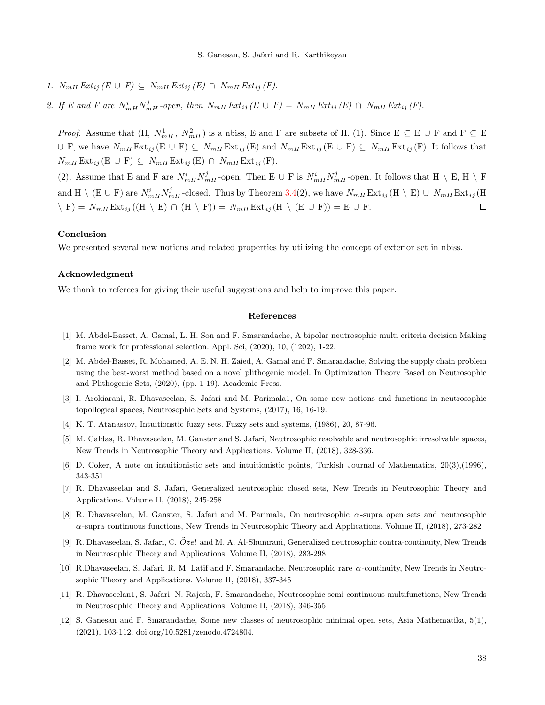- 1.  $N_{mH} Ext_{ij} (E \cup F) \subseteq N_{mH} Ext_{ij} (E) \cap N_{mH} Ext_{ij} (F).$
- 2. If E and F are  $N_{mH}^i N_{mH}^j$ -open, then  $N_{mH} Ext_{ij} (E \cup F) = N_{mH} Ext_{ij} (E) \cap N_{mH} Ext_{ij} (F)$ .

*Proof.* Assume that  $(H, N_{mH}^1, N_{mH}^2)$  is a nbiss, E and F are subsets of H. (1). Since  $E \subseteq E \cup F$  and  $F \subseteq E$  $\cup$  F, we have  $N_{mH}$  Ext<sub>ij</sub> (E  $\cup$  F)  $\subseteq$   $N_{mH}$  Ext<sub>ij</sub> (E) and  $N_{mH}$  Ext<sub>ij</sub> (E  $\cup$  F)  $\subseteq$   $N_{mH}$  Ext<sub>ij</sub> (F). It follows that  $N_{mH} \text{Ext}_{ij} (\text{E} \cup \text{F}) \subseteq N_{mH} \text{Ext}_{ij} (\text{E}) \cap N_{mH} \text{Ext}_{ij} (\text{F}).$ 

(2). Assume that E and F are  $N_{mH}^i N_{mH}^j$ -open. Then E  $\cup$  F is  $N_{mH}^i N_{mH}^j$ -open. It follows that H  $\setminus$  E, H  $\setminus$  F and H \ (E ∪ F) are  $N_{mH}^i N_{mH}^j$ -closed. Thus by Theorem [3.4\(](#page-2-0)2), we have  $N_{mH}$  Ext  $_{ij}$  (H \ E) ∪  $N_{mH}$  Ext  $_{ij}$  (H  $\langle F \rangle = N_{mH} \text{Ext}_{ij}((H \setminus E) \cap (H \setminus F)) = N_{mH} \text{Ext}_{ij}(H \setminus (E \cup F)) = E \cup F.$  $\Box$ 

## Conclusion

We presented several new notions and related properties by utilizing the concept of exterior set in nbiss.

### Acknowledgment

We thank to referees for giving their useful suggestions and help to improve this paper.

### References

- <span id="page-3-2"></span>[1] M. Abdel-Basset, A. Gamal, L. H. Son and F. Smarandache, A bipolar neutrosophic multi criteria decision Making frame work for professional selection. Appl. Sci, (2020), 10, (1202), 1-22.
- [2] M. Abdel-Basset, R. Mohamed, A. E. N. H. Zaied, A. Gamal and F. Smarandache, Solving the supply chain problem using the best-worst method based on a novel plithogenic model. In Optimization Theory Based on Neutrosophic and Plithogenic Sets, (2020), (pp. 1-19). Academic Press.
- <span id="page-3-3"></span>[3] I. Arokiarani, R. Dhavaseelan, S. Jafari and M. Parimala1, On some new notions and functions in neutrosophic topollogical spaces, Neutrosophic Sets and Systems, (2017), 16, 16-19.
- <span id="page-3-0"></span>[4] K. T. Atanassov, Intuitionstic fuzzy sets. Fuzzy sets and systems, (1986), 20, 87-96.
- <span id="page-3-4"></span>[5] M. Caldas, R. Dhavaseelan, M. Ganster and S. Jafari, Neutrosophic resolvable and neutrosophic irresolvable spaces, New Trends in Neutrosophic Theory and Applications. Volume II, (2018), 328-336.
- <span id="page-3-1"></span>[6] D. Coker, A note on intuitionistic sets and intuitionistic points, Turkish Journal of Mathematics, 20(3),(1996), 343-351.
- <span id="page-3-5"></span>[7] R. Dhavaseelan and S. Jafari, Generalized neutrosophic closed sets, New Trends in Neutrosophic Theory and Applications. Volume II, (2018), 245-258
- [8] R. Dhavaseelan, M. Ganster, S. Jafari and M. Parimala, On neutrosophic α-supra open sets and neutrosophic  $\alpha$ -supra continuous functions, New Trends in Neutrosophic Theory and Applications. Volume II, (2018), 273-282
- [9] R. Dhavaseelan, S. Jafari, C.  $\tilde{O}zel$  and M. A. Al-Shumrani, Generalized neutrosophic contra-continuity, New Trends in Neutrosophic Theory and Applications. Volume II, (2018), 283-298
- [10] R.Dhavaseelan, S. Jafari, R. M. Latif and F. Smarandache, Neutrosophic rare α-continuity, New Trends in Neutrosophic Theory and Applications. Volume II, (2018), 337-345
- [11] R. Dhavaseelan1, S. Jafari, N. Rajesh, F. Smarandache, Neutrosophic semi-continuous multifunctions, New Trends in Neutrosophic Theory and Applications. Volume II, (2018), 346-355
- [12] S. Ganesan and F. Smarandache, Some new classes of neutrosophic minimal open sets, Asia Mathematika, 5(1), (2021), 103-112. doi.org/10.5281/zenodo.4724804.